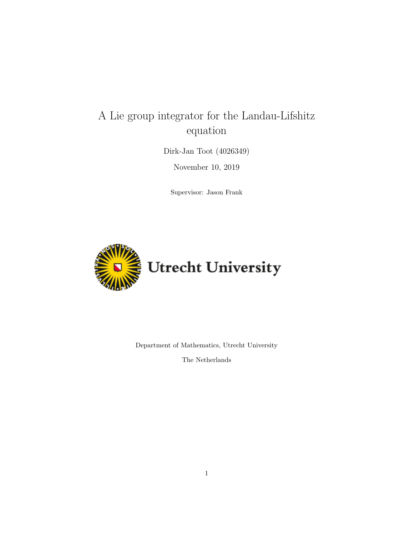# A Lie group integrator for the Landau-Lifshitz equation

Dirk-Jan Toot (4026349)

November 10, 2019

Supervisor: Jason Frank



Department of Mathematics, Utrecht University

The Netherlands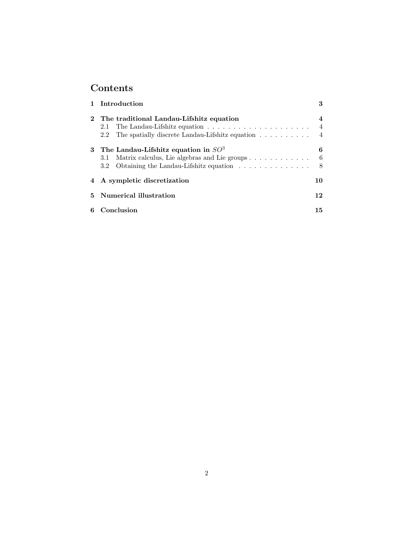## Contents

|   | 1 Introduction                                                                    | 3              |
|---|-----------------------------------------------------------------------------------|----------------|
|   | 2 The traditional Landau-Lifshitz equation                                        | 4              |
|   | 2.1                                                                               | $\overline{4}$ |
|   | The spatially discrete Landau-Lifshitz equation<br>2.2                            | $\overline{4}$ |
|   | 3 The Landau-Lifshitz equation in $SO3$                                           | 6              |
|   | Matrix calculus, Lie algebras and Lie groups<br>3.1                               | - 6            |
|   | Obtaining the Landau-Lifshitz equation $\ldots \ldots \ldots \ldots$ 8<br>$3.2\,$ |                |
|   | 4 A sympletic discretization                                                      | 10             |
|   | 5 Numerical illustration                                                          | 12             |
| 6 | Conclusion                                                                        | 15             |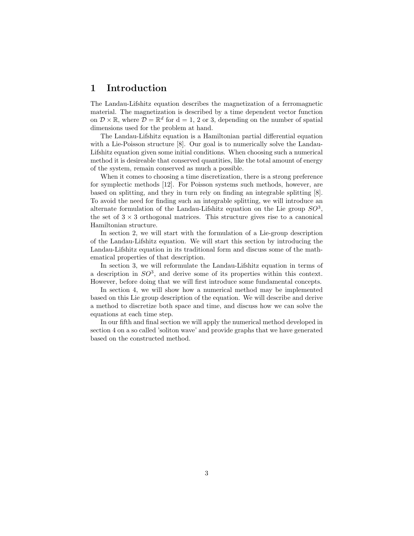## 1 Introduction

The Landau-Lifshitz equation describes the magnetization of a ferromagnetic material. The magnetization is described by a time dependent vector function on  $\mathcal{D} \times \mathbb{R}$ , where  $\mathcal{D} = \mathbb{R}^d$  for  $d = 1, 2$  or 3, depending on the number of spatial dimensions used for the problem at hand.

The Landau-Lifshitz equation is a Hamiltonian partial differential equation with a Lie-Poisson structure [8]. Our goal is to numerically solve the Landau-Lifshitz equation given some initial conditions. When choosing such a numerical method it is desireable that conserved quantities, like the total amount of energy of the system, remain conserved as much a possible.

When it comes to choosing a time discretization, there is a strong preference for symplectic methods [12]. For Poisson systems such methods, however, are based on splitting, and they in turn rely on finding an integrable splitting [8]. To avoid the need for finding such an integrable splitting, we will introduce an alternate formulation of the Landau-Lifshitz equation on the Lie group  $SO^3$ , the set of  $3 \times 3$  orthogonal matrices. This structure gives rise to a canonical Hamiltonian structure.

In section 2, we will start with the formulation of a Lie-group description of the Landau-Lifshitz equation. We will start this section by introducing the Landau-Lifshitz equation in its traditional form and discuss some of the mathematical properties of that description.

In section 3, we will reformulate the Landau-Lifshitz equation in terms of a description in  $SO^3$ , and derive some of its properties within this context. However, before doing that we will first introduce some fundamental concepts.

In section 4, we will show how a numerical method may be implemented based on this Lie group description of the equation. We will describe and derive a method to discretize both space and time, and discuss how we can solve the equations at each time step.

In our fifth and final section we will apply the numerical method developed in section 4 on a so called 'soliton wave' and provide graphs that we have generated based on the constructed method.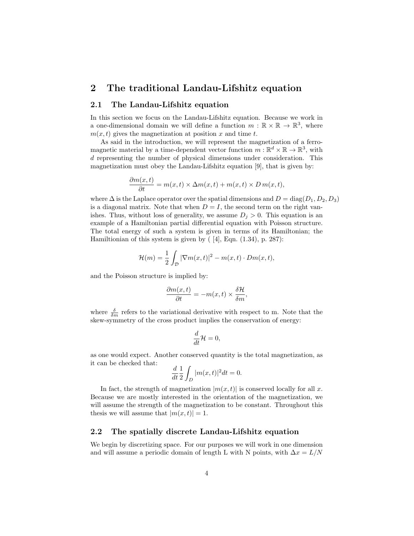## 2 The traditional Landau-Lifshitz equation

#### 2.1 The Landau-Lifshitz equation

In this section we focus on the Landau-Lifshitz equation. Because we work in a one-dimensional domain we will define a function  $m : \mathbb{R} \times \mathbb{R} \to \mathbb{R}^3$ , where  $m(x, t)$  gives the magnetization at position x and time t.

As said in the introduction, we will represent the magnetization of a ferromagnetic material by a time-dependent vector function  $m : \mathbb{R}^d \times \mathbb{R} \to \mathbb{R}^3$ , with d representing the number of physical dimensions under consideration. This magnetization must obey the Landau-Lifshitz equation [9], that is given by:

$$
\frac{\partial m(x,t)}{\partial t} = m(x,t) \times \Delta m(x,t) + m(x,t) \times D m(x,t),
$$

where  $\Delta$  is the Laplace operator over the spatial dimensions and  $D = \text{diag}(D_1, D_2, D_3)$ is a diagonal matrix. Note that when  $D = I$ , the second term on the right vanishes. Thus, without loss of generality, we assume  $D_j > 0$ . This equation is an example of a Hamiltonian partial differential equation with Poisson structure. The total energy of such a system is given in terms of its Hamiltonian; the Hamiltionian of this system is given by ( [4], Eqn. (1.34), p. 287):

$$
\mathcal{H}(m) = \frac{1}{2} \int_{\mathcal{D}} |\nabla m(x, t)|^2 - m(x, t) \cdot Dm(x, t),
$$

and the Poisson structure is implied by:

$$
\frac{\partial m(x,t)}{\partial t} = -m(x,t) \times \frac{\delta \mathcal{H}}{\delta m},
$$

where  $\frac{\delta}{\delta m}$  refers to the variational derivative with respect to m. Note that the skew-symmetry of the cross product implies the conservation of energy:

$$
\frac{d}{dt}\mathcal{H}=0,
$$

as one would expect. Another conserved quantity is the total magnetization, as it can be checked that:

$$
\frac{d}{dt}\frac{1}{2}\int_D |m(x,t)|^2 dt = 0.
$$

In fact, the strength of magnetization  $|m(x, t)|$  is conserved locally for all x. Because we are mostly interested in the orientation of the magnetization, we will assume the strength of the magnetization to be constant. Throughout this thesis we will assume that  $|m(x, t)| = 1$ .

#### 2.2 The spatially discrete Landau-Lifshitz equation

We begin by discretizing space. For our purposes we will work in one dimension and will assume a periodic domain of length L with N points, with  $\Delta x = L/N$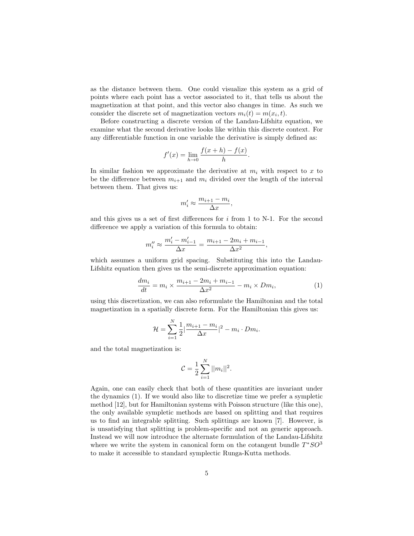as the distance between them. One could visualize this system as a grid of points where each point has a vector associated to it, that tells us about the magnetization at that point, and this vector also changes in time. As such we consider the discrete set of magnetization vectors  $m_i(t) = m(x_i, t)$ .

Before constructing a discrete version of the Landau-Lifshitz equation, we examine what the second derivative looks like within this discrete context. For any differentiable function in one variable the derivative is simply defined as:

$$
f'(x) = \lim_{h \to 0} \frac{f(x+h) - f(x)}{h}.
$$

In similar fashion we approximate the derivative at  $m_i$  with respect to x to be the difference between  $m_{i+1}$  and  $m_i$  divided over the length of the interval between them. That gives us:

$$
m_i' \approx \frac{m_{i+1} - m_i}{\Delta x},
$$

and this gives us a set of first differences for  $i$  from 1 to N-1. For the second difference we apply a variation of this formula to obtain:

$$
m_i'' \approx \frac{m_i' - m_{i-1}'}{\Delta x} = \frac{m_{i+1} - 2m_i + m_{i-1}}{\Delta x^2},
$$

which assumes a uniform grid spacing. Substituting this into the Landau-Lifshitz equation then gives us the semi-discrete approximation equation:

$$
\frac{dm_i}{dt} = m_i \times \frac{m_{i+1} - 2m_i + m_{i-1}}{\Delta x^2} - m_i \times Dm_i,
$$
\n(1)

using this discretization, we can also reformulate the Hamiltonian and the total magnetization in a spatially discrete form. For the Hamiltonian this gives us:

$$
\mathcal{H} = \sum_{i=1}^{N} \frac{1}{2} |\frac{m_{i+1} - m_i}{\Delta x}|^2 - m_i \cdot Dm_i.
$$

and the total magnetization is:

$$
C = \frac{1}{2} \sum_{i=1}^{N} ||m_i||^2.
$$

Again, one can easily check that both of these quantities are invariant under the dynamics (1). If we would also like to discretize time we prefer a sympletic method [12], but for Hamiltonian systems with Poisson structure (like this one), the only available sympletic methods are based on splitting and that requires us to find an integrable splitting. Such splittings are known [7]. However, is is unsatisfying that splitting is problem-specific and not an generic approach. Instead we will now introduce the alternate formulation of the Landau-Lifshitz where we write the system in canonical form on the cotangent bundle  $T^*SO^3$ to make it accessible to standard symplectic Runga-Kutta methods.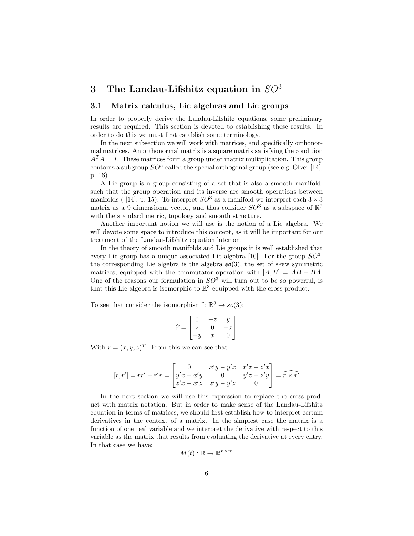## 3 The Landau-Lifshitz equation in  $SO<sup>3</sup>$

#### 3.1 Matrix calculus, Lie algebras and Lie groups

In order to properly derive the Landau-Lifshitz equations, some preliminary results are required. This section is devoted to establishing these results. In order to do this we must first establish some terminology.

In the next subsection we will work with matrices, and specifically orthonormal matrices. An orthonormal matrix is a square matrix satisfying the condition  $A<sup>T</sup> A = I$ . These matrices form a group under matrix multiplication. This group contains a subgroup  $SO<sup>n</sup>$  called the special orthogonal group (see e.g. Olver [14], p. 16).

A Lie group is a group consisting of a set that is also a smooth manifold, such that the group operation and its inverse are smooth operations between manifolds ( [14], p. 15). To interpret  $SO^3$  as a manifold we interpret each  $3 \times 3$ matrix as a 9 dimensional vector, and thus consider  $SO<sup>3</sup>$  as a subspace of  $\mathbb{R}^9$ with the standard metric, topology and smooth structure.

Another important notion we will use is the notion of a Lie algebra. We will devote some space to introduce this concept, as it will be important for our treatment of the Landau-Lifshitz equation later on.

In the theory of smooth manifolds and Lie groups it is well established that every Lie group has a unique associated Lie algebra [10]. For the group  $SO^3$ , the corresponding Lie algebra is the algebra  $\mathfrak{so}(3)$ , the set of skew symmetric matrices, equipped with the commutator operation with  $[A, B] = AB - BA$ . One of the reasons our formulation in  $SO<sup>3</sup>$  will turn out to be so powerful, is that this Lie algebra is isomorphic to  $\mathbb{R}^3$  equipped with the cross product.

To see that consider the isomorphism<sup> $\hat{\cdot}$ </sup>:  $\mathbb{R}^3 \to so(3)$ :

$$
\widehat{r} = \begin{bmatrix} 0 & -z & y \\ z & 0 & -x \\ -y & x & 0 \end{bmatrix}
$$

With  $r = (x, y, z)^T$ . From this we can see that:

$$
[r,r'] = rr' - r'r = \begin{bmatrix} 0 & x'y - y'x & x'z - z'x \\ y'x - x'y & 0 & y'z - z'y \\ z'x - x'z & z'y - y'z & 0 \end{bmatrix} = \widehat{r \times r'}
$$

In the next section we will use this expression to replace the cross product with matrix notation. But in order to make sense of the Landau-Lifshitz equation in terms of matrices, we should first establish how to interpret certain derivatives in the context of a matrix. In the simplest case the matrix is a function of one real variable and we interpret the derivative with respect to this variable as the matrix that results from evaluating the derivative at every entry. In that case we have:

$$
M(t): \mathbb{R} \to \mathbb{R}^{n \times m}
$$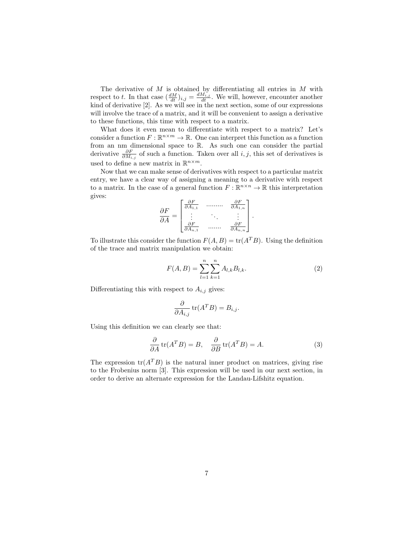The derivative of M is obtained by differentiating all entries in M with respect to t. In that case  $(\frac{dM}{dt})_{i,j} = \frac{dM_{i,j}}{dt}$ . We will, however, encounter another kind of derivative [2]. As we will see in the next section, some of our expressions will involve the trace of a matrix, and it will be convenient to assign a derivative to these functions, this time with respect to a matrix.

What does it even mean to differentiate with respect to a matrix? Let's consider a function  $F: \mathbb{R}^{n \times m} \to \mathbb{R}$ . One can interpret this function as a function from an nm dimensional space to R. As such one can consider the partial derivative  $\frac{\partial F}{\partial M_{i,j}}$  of such a function. Taken over all i, j, this set of derivatives is used to define a new matrix in  $\mathbb{R}^{n \times m}$ .

Now that we can make sense of derivatives with respect to a particular matrix entry, we have a clear way of assigning a meaning to a derivative with respect to a matrix. In the case of a general function  $F : \mathbb{R}^{n \times n} \to \mathbb{R}$  this interpretation gives:

$$
\frac{\partial F}{\partial A} = \begin{bmatrix} \frac{\partial F}{\partial A_{1,1}} & \dots & \frac{\partial F}{\partial A_{1,n}} \\ \vdots & \ddots & \vdots \\ \frac{\partial F}{\partial A_{n,1}} & \dots & \frac{\partial F}{\partial A_{n,n}} \end{bmatrix}
$$

To illustrate this consider the function  $F(A, B) = \text{tr}(A^T B)$ . Using the definition of the trace and matrix manipulation we obtain:

$$
F(A,B) = \sum_{l=1}^{n} \sum_{k=1}^{n} A_{l,k} B_{l,k}.
$$
 (2)

.

Differentiating this with respect to  $A_{i,j}$  gives:

$$
\frac{\partial}{\partial A_{i,j}} tr(A^T B) = B_{i,j}.
$$

Using this definition we can clearly see that:

$$
\frac{\partial}{\partial A} tr(A^T B) = B, \quad \frac{\partial}{\partial B} tr(A^T B) = A.
$$
 (3)

The expression  $tr(A^T B)$  is the natural inner product on matrices, giving rise to the Frobenius norm [3]. This expression will be used in our next section, in order to derive an alternate expression for the Landau-Lifshitz equation.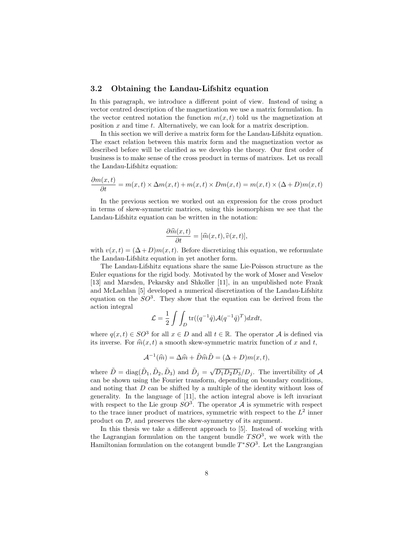#### 3.2 Obtaining the Landau-Lifshitz equation

In this paragraph, we introduce a different point of view. Instead of using a vector centred description of the magnetization we use a matrix formulation. In the vector centred notation the function  $m(x, t)$  told us the magnetization at position  $x$  and time  $t$ . Alternatively, we can look for a matrix description.

In this section we will derive a matrix form for the Landau-Lifshitz equation. The exact relation between this matrix form and the magnetization vector as described before will be clarified as we develop the theory. Our first order of business is to make sense of the cross product in terms of matrixes. Let us recall the Landau-Lifshitz equation:

$$
\frac{\partial m(x,t)}{\partial t} = m(x,t) \times \Delta m(x,t) + m(x,t) \times Dm(x,t) = m(x,t) \times (\Delta + D)m(x,t)
$$

In the previous section we worked out an expression for the cross product in terms of skew-symmetric matrices, using this isomorphism we see that the Landau-Lifshitz equation can be written in the notation:

$$
\frac{\partial \widehat{m}(x,t)}{\partial t} = [\widehat{m}(x,t), \widehat{v}(x,t)],
$$

with  $v(x, t) = (\Delta + D)m(x, t)$ . Before discretizing this equation, we reformulate the Landau-Lifshitz equation in yet another form.

The Landau-Lifshitz equations share the same Lie-Poisson structure as the Euler equations for the rigid body. Motivated by the work of Moser and Veselov [13] and Marsden, Pekarsky and Shkoller [11], in an unpublished note Frank and McLachlan [5] developed a numerical discretization of the Landau-Lifshitz equation on the  $SO<sup>3</sup>$ . They show that the equation can be derived from the action integral

$$
\mathcal{L} = \frac{1}{2} \int \int_D \text{tr}((q^{-1}\dot{q}) \mathcal{A}(q^{-1}\dot{q})^T) dx dt,
$$

where  $q(x,t) \in SO^3$  for all  $x \in D$  and all  $t \in \mathbb{R}$ . The operator A is defined via its inverse. For  $\hat{m}(x, t)$  a smooth skew-symmetric matrix function of x and t,

$$
\mathcal{A}^{-1}(\widehat{m}) = \Delta \widehat{m} + \widetilde{D}\widehat{m}\widetilde{D} = (\Delta + D)m(x, t),
$$

where  $\tilde{D} = \text{diag}(\tilde{D}_1, \tilde{D}_2, \tilde{D}_3)$  and  $\tilde{D}_j = \sqrt{D_1 D_2 D_3}/D_j$ . The invertibility of A can be shown using the Fourier transform, depending on boundary conditions, and noting that D can be shifted by a multiple of the identity without loss of generality. In the language of [11], the action integral above is left invariant with respect to the Lie group  $SO^3$ . The operator A is symmetric with respect to the trace inner product of matrices, symmetric with respect to the  $L^2$  inner product on D, and preserves the skew-symmetry of its argument.

In this thesis we take a different approach to [5]. Instead of working with the Lagrangian formulation on the tangent bundle  $TSO<sup>3</sup>$ , we work with the Hamiltonian formulation on the cotangent bundle  $T^*SO^3$ . Let the Langrangian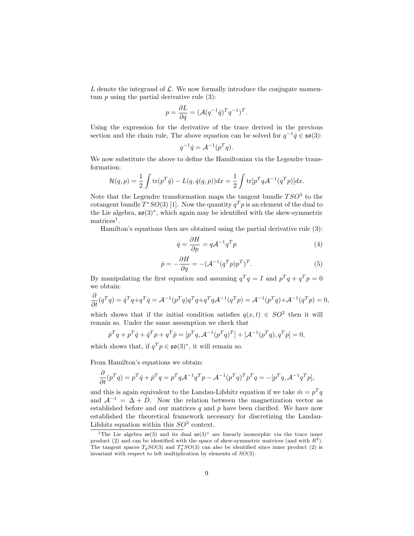L denote the integrand of  $\mathcal{L}$ . We now formally introduce the conjugate momentum  $p$  using the partial derivative rule  $(3)$ :

$$
p = \frac{\partial L}{\partial \dot{q}} = (\mathcal{A}(q^{-1}\dot{q})^T q^{-1})^T.
$$

Using the expression for the derivative of the trace derived in the previous section and the chain rule, The above equation can be solved for  $q^{-1}\dot{q} \in \mathfrak{so}(3)$ :

$$
q^{-1}\dot{q} = \mathcal{A}^{-1}(p^Tq).
$$

We now substitute the above to define the Hamiltonian via the Legendre transformation:

$$
\mathcal{H}(q,p) = \frac{1}{2} \int \text{tr}(p^T \dot{q}) - L(q, \dot{q}(q,p)) dx = \frac{1}{2} \int \text{tr}[p^T q \mathcal{A}^{-1}(q^T p)] dx.
$$

Note that the Legendre transformation maps the tangent bundle  $TSO<sup>3</sup>$  to the cotangent bundle  $T^*SO(3)$  [1]. Now the quantity  $q^T p$  is an element of the dual to the Lie algebra, so(3)<sup>∗</sup> , which again may be identified with the skew-symmetric  $\rm matrices^1$ .

Hamilton's equations then are obtained using the partial derivative rule (3):

$$
\dot{q} = \frac{\partial H}{\partial p} = q \mathcal{A}^{-1} q^T p \tag{4}
$$

$$
\dot{p} = -\frac{\partial H}{\partial q} = -(\mathcal{A}^{-1}(q^T p)p^T)^T.
$$
\n(5)

By manipulating the first equation and assuming  $q^T q = I$  and  $p^T q + q^T p = 0$ we obtain:

$$
\frac{\partial}{\partial t}(q^T q) = \dot{q}^T q + q^T \dot{q} = \mathcal{A}^{-1}(p^T q)q^T q + q^T q \mathcal{A}^{-1}(q^T p) = \mathcal{A}^{-1}(p^T q) + \mathcal{A}^{-1}(q^T p) = 0,
$$

which shows that if the initial condition satisfies  $q(x,t) \in SO^3$  then it will remain so. Under the same assumption we check that

$$
\dot{p}^T q + p^T \dot{q} + \dot{q}^T p + q^T \dot{p} = [p^T q, \mathcal{A}^{-1} (p^T q)^T] + [\mathcal{A}^{-1} (p^T q), q^T p] = 0,
$$

which shows that, if  $q^T p \in \mathfrak{so}(3)^*$ , it will remain so.

From Hamilton's equations we obtain:

$$
\frac{\partial}{\partial t}(p^T q) = p^T \dot{q} + \dot{p}^T q = p^T q \mathcal{A}^{-1} q^T p - \mathcal{A}^{-1} (p^T q)^T p^T q = -[p^T q, \mathcal{A}^{-1} q^T p],
$$

and this is again equivalent to the Landau-Lifshitz equation if we take  $\hat{m} = p^T q$ and  $A^{-1} = \Delta + D$ . Now the relation between the magnetization vector as established before and our matrices  $q$  and  $p$  have been clarified. We have now established the theoretical framework necessary for discretizing the Landau-Lifshitz equation within this  $SO^3$  context.

<sup>&</sup>lt;sup>1</sup>The Lie algebra  $\mathfrak{so}(3)$  and its dual  $\mathfrak{so}(3)$ <sup>\*</sup> are linearly isomorphic via the trace inner product (2) and can be identified with the space of skew-symmetric matrices (and with  $R<sup>3</sup>$ ). The tangent spaces  $T_qSO(3)$  and  $T_q^*SO(3)$  can also be identified since inner product (2) is invariant with respect to left multiplication by elements of  $SO(3)$ .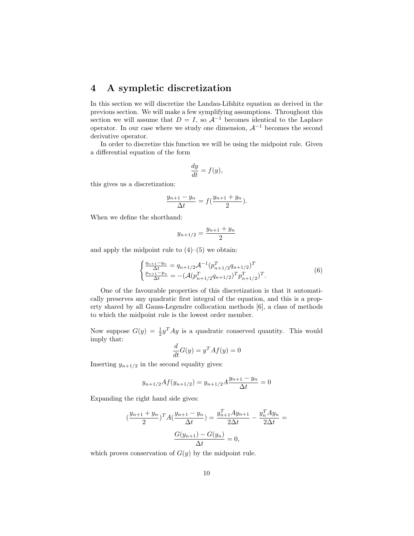## 4 A sympletic discretization

In this section we will discretize the Landau-Lifshitz equation as derived in the previous section. We will make a few symplifying assumptions. Throughout this section we will assume that  $D = I$ , so  $\mathcal{A}^{-1}$  becomes identical to the Laplace operator. In our case where we study one dimension,  $A^{-1}$  becomes the second derivative operator.

In order to discretize this function we will be using the midpoint rule. Given a differential equation of the form

$$
\frac{dy}{dt} = f(y),
$$

this gives us a discretization:

$$
\frac{y_{n+1} - y_n}{\Delta t} = f\left(\frac{y_{n+1} + y_n}{2}\right).
$$

When we define the shorthand:

$$
y_{n+1/2} = \frac{y_{n+1} + y_n}{2}
$$

and apply the midpoint rule to  $(4)$ – $(5)$  we obtain:

$$
\begin{cases} \frac{q_{n+1}-q_n}{\Delta t} = q_{n+1/2} \mathcal{A}^{-1} (p_{n+1/2}^T q_{n+1/2})^T \\ \frac{p_{n+1}-p_n}{\Delta t} = -(\mathcal{A} (p_{n+1/2}^T q_{n+1/2})^T p_{n+1/2}^T)^T. \end{cases} \tag{6}
$$

One of the favourable properties of this discretization is that it automatically preserves any quadratic first integral of the equation, and this is a property shared by all Gauss-Legendre collocation methods [6], a class of methods to which the midpoint rule is the lowest order member.

Now suppose  $G(y) = \frac{1}{2}y^T A y$  is a quadratic conserved quantity. This would imply that:

$$
\frac{d}{dt}G(y) = y^T A f(y) = 0
$$

Inserting  $y_{n+1/2}$  in the second equality gives:

$$
y_{n+1/2}Af(y_{n+1/2}) = y_{n+1/2}A \frac{y_{n+1} - y_n}{\Delta t} = 0
$$

Expanding the right hand side gives:

$$
\left(\frac{y_{n+1} + y_n}{2}\right)^T A \left(\frac{y_{n+1} - y_n}{\Delta t}\right) = \frac{y_{n+1}^T A y_{n+1}}{2\Delta t} - \frac{y_n^T A y_n}{2\Delta t} = \frac{G(y_{n+1}) - G(y_n)}{\Delta t} = 0,
$$

which proves conservation of  $G(y)$  by the midpoint rule.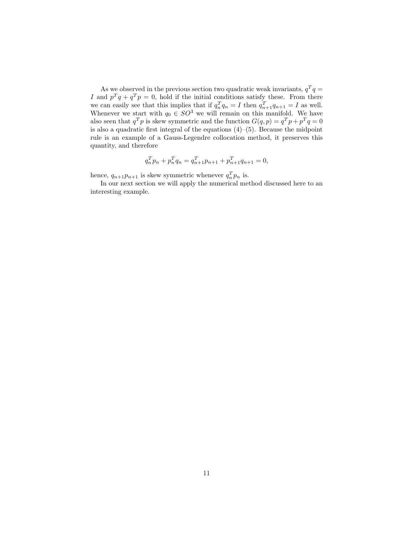As we observed in the previous section two quadratic weak invariants,  $q^T q =$ I and  $p^Tq + q^Tp = 0$ , hold if the initial conditions satisfy these. From there we can easily see that this implies that if  $q_n^T q_n = I$  then  $q_{n+1}^T q_{n+1} = I$  as well. Whenever we start with  $q_0 \in SO^3$  we will remain on this manifold. We have also seen that  $q^T p$  is skew symmetric and the function  $G(q, p) = q^T p + p^T q = 0$ is also a quadratic first integral of the equations (4)–(5). Because the midpoint rule is an example of a Gauss-Legendre collocation method, it preserves this quantity, and therefore

$$
q_n^T p_n + p_n^T q_n = q_{n+1}^T p_{n+1} + p_{n+1}^T q_{n+1} = 0,
$$

hence,  $q_{n+1}p_{n+1}$  is skew symmetric whenever  $q_n^T p_n$  is.

In our next section we will apply the numerical method discussed here to an interesting example.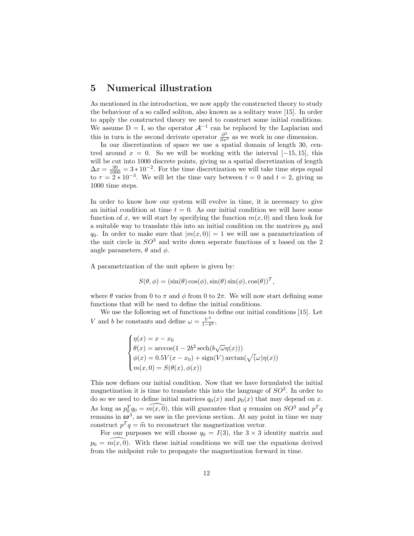## 5 Numerical illustration

As mentioned in the introduction, we now apply the constructed theory to study the behaviour of a so called soliton, also known as a solitary wave [15]. In order to apply the constructed theory we need to construct some initial conditions. We assume  $D = I$ , so the operator  $\mathcal{A}^{-1}$  can be replaced by the Laplacian and this in turn is the second derivate operator  $\frac{\partial^2}{\partial x^2}$  as we work in one dimension.

In our discretization of space we use a spatial domain of length 30, centred around  $x = 0$ . So we will be working with the interval  $[-15, 15]$ , this will be cut into 1000 discrete points, giving us a spatial discretization of length  $\Delta x = \frac{30}{1000} = 3 * 10^{-2}$ . For the time discretization we will take time steps equal to  $\tau = 2 \times 10^{-3}$ . We will let the time vary between  $t = 0$  and  $t = 2$ , giving us 1000 time steps.

In order to know how our system will evolve in time, it is necessary to give an initial condition at time  $t = 0$ . As our initial condition we will have some function of x, we will start by specifying the function  $m(x, 0)$  and then look for a suitable way to translate this into an initial condition on the matrices  $p_0$  and  $q_0$ . In order to make sure that  $|m(x, 0)| = 1$  we will use a parametrization of the unit circle in  $SO^3$  and write down seperate functions of x based on the 2 angle parameters,  $\theta$  and  $\phi$ .

A parametrization of the unit sphere is given by:

$$
S(\theta, \phi) = (\sin(\theta)\cos(\phi), \sin(\theta)\sin(\phi), \cos(\theta))^T,
$$

where  $\theta$  varies from 0 to  $\pi$  and  $\phi$  from 0 to  $2\pi$ . We will now start defining some functions that will be used to define the initial conditions.

We use the following set of functions to define our initial conditions [15]. Let V and b be constants and define  $\omega = \frac{V^2}{1-h}$  $\frac{V^2}{1-b^2}$ 

$$
\begin{cases}\n\eta(x) = x - x_0 \\
\theta(x) = \arccos(1 - 2b^2 \operatorname{sech}(b\sqrt{\omega}\eta(x))) \\
\phi(x) = 0.5V(x - x_0) + \operatorname{sign}(V)\operatorname{arctan}(\sqrt{\omega}\eta(x)) \\
m(x, 0) = S(\theta(x), \phi(x))\n\end{cases}
$$

This now defines our initial condition. Now that we have formulated the initial magnetization it is time to translate this into the language of  $SO<sup>3</sup>$ . In order to do so we need to define initial matrices  $q_0(x)$  and  $p_0(x)$  that may depend on x. As long as  $p_0^T q_0 = \widehat{m(x, 0)}$ , this will guarantee that q remains on  $SO^3$  and  $p^T q$ remains in  $\mathfrak{so}^3$ , as we saw in the previous section. At any point in time we may construct  $p^T q = \hat{m}$  to reconstruct the magnetization vector.<br>For our purposes we will shoote  $a_1 = I(3)$  the  $3 \times 3$  is

For our purposes we will choose  $q_0 = I(3)$ , the  $3 \times 3$  identity matrix and  $p_0 = \overline{m}(x, 0)$ . With these initial conditions we will use the equations derived from the midpoint rule to propagate the magnetization forward in time.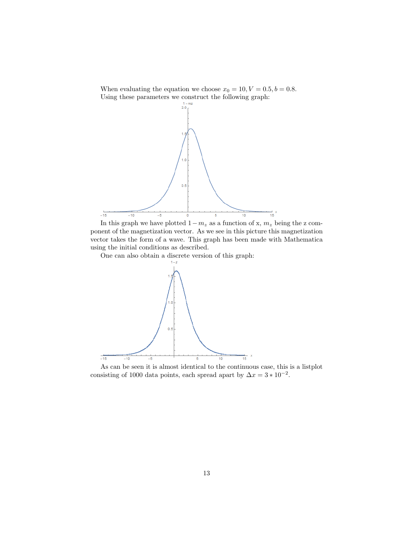When evaluating the equation we choose  $x_0 = 10, V = 0.5, b = 0.8$ . Using these parameters we construct the following graph:



In this graph we have plotted  $1-m_z$  as a function of x,  $m_z$  being the z component of the magnetization vector. As we see in this picture this magnetization vector takes the form of a wave. This graph has been made with Mathematica using the initial conditions as described.

One can also obtain a discrete version of this graph:



As can be seen it is almost identical to the continuous case, this is a listplot consisting of 1000 data points, each spread apart by  $\Delta x = 3 * 10^{-2}$ .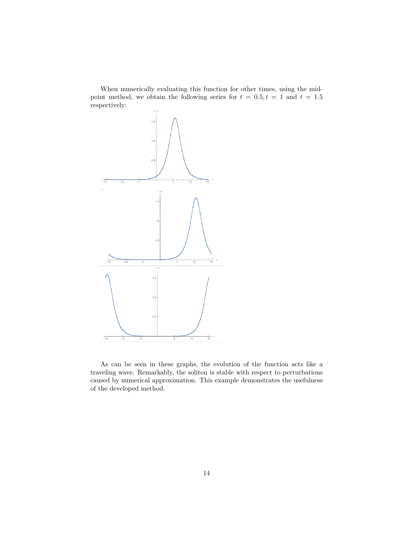When numerically evaluating this function for other times, using the midpoint method, we obtain the following series for  $t = 0.5, t = 1$  and  $t = 1.5$ respectively:



As can be seen in these graphs, the evolution of the function acts like a traveling wave. Remarkably, the soliton is stable with respect to perturbations caused by numerical approximation. This example demonstrates the usefulness of the developed method.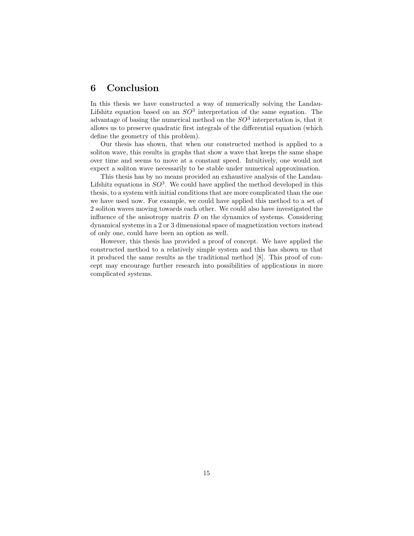## 6 Conclusion

In this thesis we have constructed a way of numerically solving the Landau-Lifshitz equation based on an  $SO<sup>3</sup>$  interpretation of the same equation. The advantage of basing the numerical method on the  $SO<sup>3</sup>$  interpretation is, that it allows us to preserve quadratic first integrals of the differential equation (which define the geometry of this problem).

Our thesis has shown, that when our constructed method is applied to a soliton wave, this results in graphs that show a wave that keeps the same shape over time and seems to move at a constant speed. Intuitively, one would not expect a soliton wave necessarily to be stable under numerical approximation.

This thesis has by no means provided an exhaustive analysis of the Landau-Lifshitz equations in  $SO^3$ . We could have applied the method developed in this thesis, to a system with initial conditions that are more complicated than the one we have used now. For example, we could have applied this method to a set of 2 soliton waves moving towards each other. We could also have investigated the influence of the anisotropy matrix  $D$  on the dynamics of systems. Considering dynamical systems in a 2 or 3 dimensional space of magnetization vectors instead of only one, could have been an option as well.

However, this thesis has provided a proof of concept. We have applied the constructed method to a relatively simple system and this has shown us that it produced the same results as the traditional method [8]. This proof of concept may encourage further research into possibilities of applications in more complicated systems.